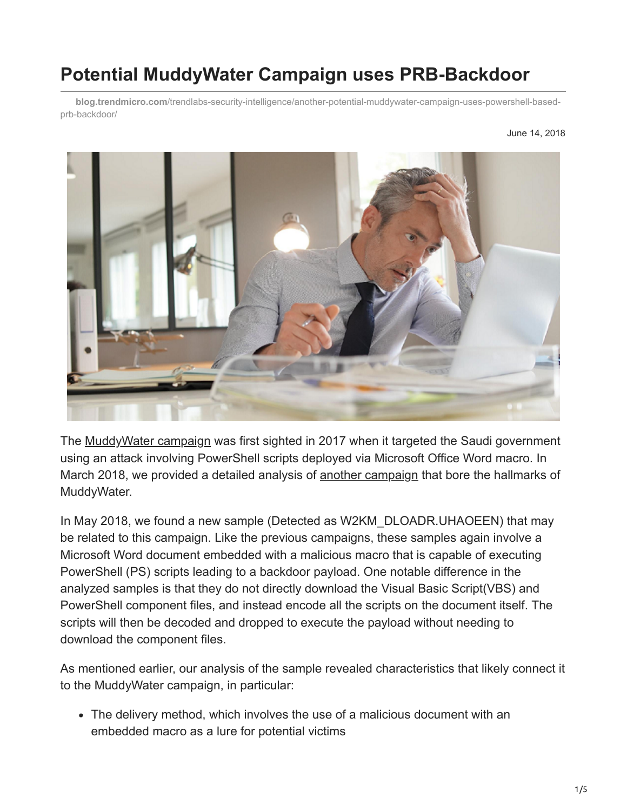# **Potential MuddyWater Campaign uses PRB-Backdoor**

**blog.trendmicro.com**[/trendlabs-security-intelligence/another-potential-muddywater-campaign-uses-powershell-based](https://blog.trendmicro.com/trendlabs-security-intelligence/another-potential-muddywater-campaign-uses-powershell-based-prb-backdoor/)prb-backdoor/



The [MuddyWater campaign](https://www.reuters.com/article/us-saudi-cyber/saudi-agency-says-country-targeted-in-cyber-spying-campaign-idUSKBN1DK27M) was first sighted in 2017 when it targeted the Saudi government using an attack involving PowerShell scripts deployed via Microsoft Office Word macro. In March 2018, we provided a detailed analysis of [another campaign](https://blog.trendmicro.com/en_us/research/18/c/campaign-possibly-connected-muddywater-surfaces-middle-east-central-asia.html) that bore the hallmarks of MuddyWater.

In May 2018, we found a new sample (Detected as W2KM\_DLOADR.UHAOEEN) that may be related to this campaign. Like the previous campaigns, these samples again involve a Microsoft Word document embedded with a malicious macro that is capable of executing PowerShell (PS) scripts leading to a backdoor payload. One notable difference in the analyzed samples is that they do not directly download the Visual Basic Script(VBS) and PowerShell component files, and instead encode all the scripts on the document itself. The scripts will then be decoded and dropped to execute the payload without needing to download the component files.

As mentioned earlier, our analysis of the sample revealed characteristics that likely connect it to the MuddyWater campaign, in particular:

The delivery method, which involves the use of a malicious document with an embedded macro as a lure for potential victims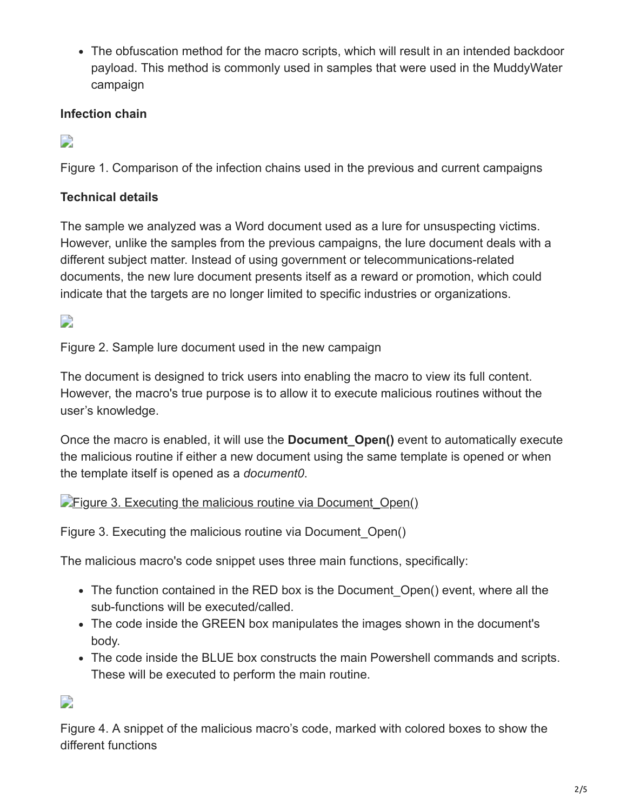The obfuscation method for the macro scripts, which will result in an intended backdoor payload. This method is commonly used in samples that were used in the MuddyWater campaign

### **Infection chain**

 $\Box$ 

Figure 1. Comparison of the infection chains used in the previous and current campaigns

# **Technical details**

The sample we analyzed was a Word document used as a lure for unsuspecting victims. However, unlike the samples from the previous campaigns, the lure document deals with a different subject matter. Instead of using government or telecommunications-related documents, the new lure document presents itself as a reward or promotion, which could indicate that the targets are no longer limited to specific industries or organizations.

D

Figure 2. Sample lure document used in the new campaign

The document is designed to trick users into enabling the macro to view its full content. However, the macro's true purpose is to allow it to execute malicious routines without the user's knowledge.

Once the macro is enabled, it will use the **Document\_Open()** event to automatically execute the malicious routine if either a new document using the same template is opened or when the template itself is opened as a *document0*.

#### **Figure 3. Executing the malicious routine via Document Open()**

Figure 3. Executing the malicious routine via Document\_Open()

The malicious macro's code snippet uses three main functions, specifically:

- The function contained in the RED box is the Document Open() event, where all the sub-functions will be executed/called.
- The code inside the GREEN box manipulates the images shown in the document's body.
- The code inside the BLUE box constructs the main Powershell commands and scripts. These will be executed to perform the main routine.

 $\Box$ 

Figure 4. A snippet of the malicious macro's code, marked with colored boxes to show the different functions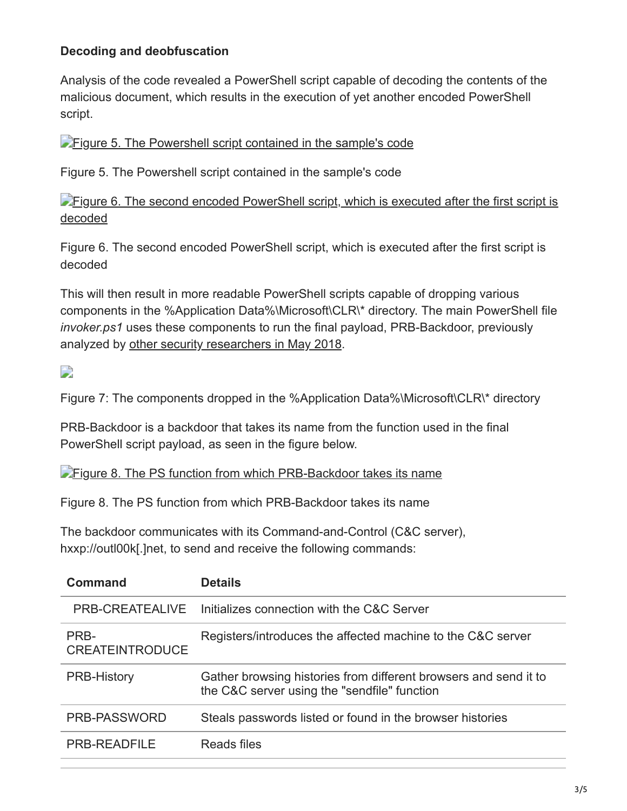### **Decoding and deobfuscation**

Analysis of the code revealed a PowerShell script capable of decoding the contents of the malicious document, which results in the execution of yet another encoded PowerShell script.

**[Figure 5. The Powershell script contained in the sample's code](https://blog.trendmicro.com/content/dam/trendmicro/global/en/migrated/security-intelligence-migration-spreadsheet/trendlabs-security-intelligence/2018/06/MuddyWater-New5.png)** 

Figure 5. The Powershell script contained in the sample's code

[Figure 6. The second encoded PowerShell script, which is executed after the first script is](https://blog.trendmicro.com/content/dam/trendmicro/global/en/migrated/security-intelligence-migration-spreadsheet/trendlabs-security-intelligence/2018/06/MuddyWater-New6.png) decoded

Figure 6. The second encoded PowerShell script, which is executed after the first script is decoded

This will then result in more readable PowerShell scripts capable of dropping various components in the %Application Data%\Microsoft\CLR\\* directory. The main PowerShell file *invoker.ps1* uses these components to run the final payload, PRB-Backdoor, previously analyzed by [other security researchers in May 2018.](https://sec0wn.blogspot.com/2018/05/prb-backdoor-fully-loaded-powershell.html)

 $\overline{\phantom{a}}$ 

Figure 7: The components dropped in the %Application Data%\Microsoft\CLR\\* directory

PRB-Backdoor is a backdoor that takes its name from the function used in the final PowerShell script payload, as seen in the figure below.

**[Figure 8. The PS function from which PRB-Backdoor takes its name](https://blog.trendmicro.com/content/dam/trendmicro/global/en/migrated/security-intelligence-migration-spreadsheet/trendlabs-security-intelligence/2018/06/MuddyWater-New8.png)** 

Figure 8. The PS function from which PRB-Backdoor takes its name

The backdoor communicates with its Command-and-Control (C&C server), hxxp://outl00k[.]net, to send and receive the following commands:

| Command                        | <b>Details</b>                                                                                                   |
|--------------------------------|------------------------------------------------------------------------------------------------------------------|
| PRB-CREATEALIVE                | Initializes connection with the C&C Server                                                                       |
| PRB-<br><b>CREATEINTRODUCE</b> | Registers/introduces the affected machine to the C&C server                                                      |
| <b>PRB-History</b>             | Gather browsing histories from different browsers and send it to<br>the C&C server using the "sendfile" function |
| PRB-PASSWORD                   | Steals passwords listed or found in the browser histories                                                        |
| <b>PRB-READFILE</b>            | Reads files                                                                                                      |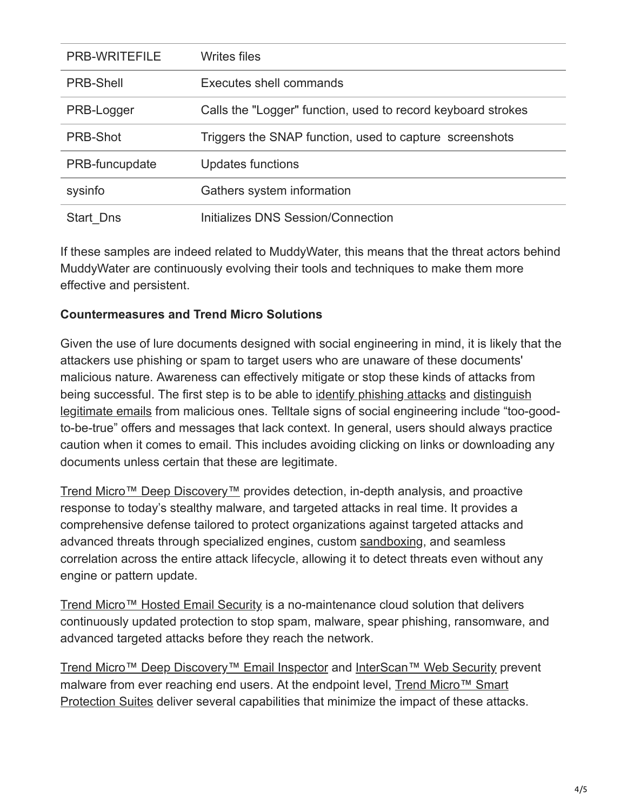| <b>PRB-WRITEFILE</b> | <b>Writes files</b>                                          |
|----------------------|--------------------------------------------------------------|
| <b>PRB-Shell</b>     | Executes shell commands                                      |
| PRB-Logger           | Calls the "Logger" function, used to record keyboard strokes |
| <b>PRB-Shot</b>      | Triggers the SNAP function, used to capture screenshots      |
| PRB-funcupdate       | <b>Updates functions</b>                                     |
| sysinfo              | Gathers system information                                   |
| Start Dns            | Initializes DNS Session/Connection                           |

If these samples are indeed related to MuddyWater, this means that the threat actors behind MuddyWater are continuously evolving their tools and techniques to make them more effective and persistent.

#### **Countermeasures and Trend Micro Solutions**

Given the use of lure documents designed with social engineering in mind, it is likely that the attackers use phishing or spam to target users who are unaware of these documents' malicious nature. Awareness can effectively mitigate or stop these kinds of attacks from [being successful. The first step is to be able to](https://www.trendmicro.com/vinfo/tmr/?/us/security/news/cybercrime-and-digital-threats/infosec-guide-email-threats) [identify phishing attacks](https://www.trendmicro.com/vinfo/tmr/?/us/security/news/cybercrime-and-digital-threats/best-practices-identifying-and-mitigating-phishing-attacks) [and distinguish](https://www.trendmicro.com/vinfo/tmr/?/us/security/news/cybercrime-and-digital-threats/infosec-guide-email-threats) legitimate emails from malicious ones. Telltale signs of social engineering include "too-goodto-be-true" offers and messages that lack context. In general, users should always practice caution when it comes to email. This includes avoiding clicking on links or downloading any documents unless certain that these are legitimate.

[Trend Micro™ Deep Discovery™](https://blog.trendmicro.com/en_us/business/products/network/advanced-threat-protection.html) provides detection, in-depth analysis, and proactive response to today's stealthy malware, and targeted attacks in real time. It provides a comprehensive defense tailored to protect organizations against targeted attacks and advanced threats through specialized engines, custom [sandboxing](https://www.trendmicro.com/vinfo/tmr/?/us/security/news/security-technology/how-can-advanced-sandboxing-techniques-thwart-elusive-malware), and seamless correlation across the entire attack lifecycle, allowing it to detect threats even without any engine or pattern update.

[Trend Micro™ Hosted Email Security](https://blog.trendmicro.com/en_us/business/products/user-protection/sps/email-and-collaboration/email-security.html) is a no-maintenance cloud solution that delivers continuously updated protection to stop spam, malware, spear phishing, ransomware, and advanced targeted attacks before they reach the network.

[Trend Micro™ Deep Discovery™ Email Inspector](https://blog.trendmicro.com/en_us/business/products/network/advanced-threat-protection.html) and [InterScan™ Web Security](https://blog.trendmicro.com/en_us/business/products/user-protection/sps.html) prevent [malware from ever reaching end users. At the endpoint level, Trend Micro™ Smart](https://blog.trendmicro.com/en_us/business/products/user-protection/sps.html) Protection Suites deliver several capabilities that minimize the impact of these attacks.